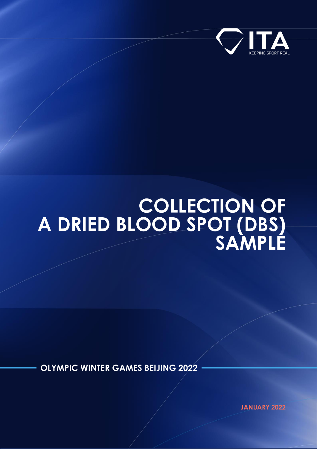

# **COLLECTION OF A DRIED BLOOD SPOT (DBS) SAMPLE**

**OLYMPIC WINTER GAMES BEIJING 2022**

**JANUARY 2022**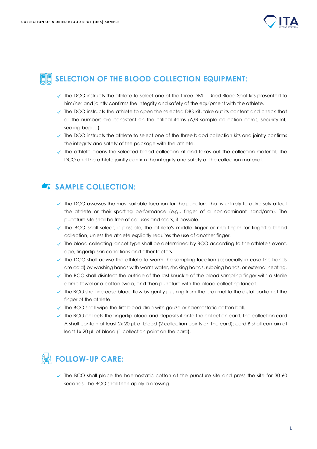

### **图图 SELECTION OF THE BLOOD COLLECTION EQUIPMENT:**

- $\checkmark$  The DCO instructs the athlete to select one of the three DBS Dried Blood Spot kits presented to him/her and jointly confirms the integrity and safety of the equipment with the athlete.
- $\checkmark$  The DCO instructs the athlete to open the selected DBS kit, take out its content and check that all the numbers are consistent on the critical items (A/B sample collection cards, security kit, sealing bag …)
- $\checkmark$  The DCO instructs the athlete to select one of the three blood collection kits and jointly confirms the integrity and safety of the package with the athlete.
- $\checkmark$  The athlete opens the selected blood collection kit and takes out the collection material. The DCO and the athlete jointly confirm the integrity and safety of the collection material.

#### SAMPLE COLLECTION:

- $\checkmark$  The DCO assesses the most suitable location for the puncture that is unlikely to adversely affect the athlete or their sporting performance (e.g., finger of a non-dominant hand/arm). The puncture site shall be free of calluses and scars, if possible.
- $\checkmark$  The BCO shall select, if possible, the athlete's middle finger or ring finger for fingertip blood collection, unless the athlete explicitly requires the use of another finger.
- $\checkmark$  The blood collecting lancet type shall be determined by BCO according to the athlete's event, age, fingertip skin conditions and other factors.
- $\checkmark$  The DCO shall advise the athlete to warm the sampling location (especially in case the hands are cold) by washing hands with warm water, shaking hands, rubbing hands, or external heating.
- The BCO shall disinfect the outside of the last knuckle of the blood sampling finger with a sterile damp towel or a cotton swab, and then puncture with the blood collecting lancet.
- $\checkmark$  The BCO shall increase blood flow by gently pushing from the proximal to the distal portion of the finger of the athlete.
- $\checkmark$  The BCO shall wipe the first blood drop with gauze or haemostatic cotton ball.
- $\checkmark$  The BCO collects the fingertip blood and deposits it onto the collection card. The collection card A shall contain at least 2x 20 μL of blood (2 collection points on the card); card B shall contain at least 1x 20 μL of blood (1 collection point on the card).

## *PMI* FOLLOW-UP CARE:

 $\checkmark$  The BCO shall place the haemostatic cotton at the puncture site and press the site for 30-60 seconds. The BCO shall then apply a dressing.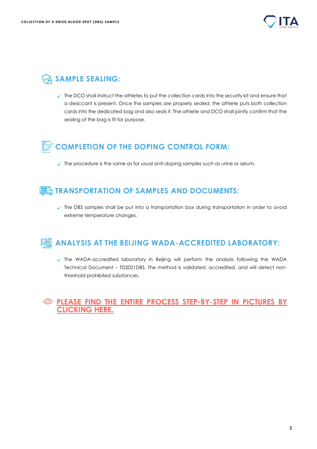

## **SAMPLE SEALING:**

 $\checkmark$  The DCO shall instruct the athletes to put the collection cards into the security kit and ensure that a desiccant is present. Once the samples are properly sealed, the athlete puts both collection cards into the dedicated bag and also seals it. The athlete and DCO shall jointly confirm that the sealing of the bag is fit for purpose.

## **COMPLETION OF THE DOPING CONTROL FORM:**

 $\checkmark$  The procedure is the same as for usual anti-doping samples such as urine or serum.

### **TRANSPORTATION OF SAMPLES AND DOCUMENTS:**

 $\checkmark$  The DBS samples shall be put into a transportation box during transportation in order to avoid extreme temperature changes.

#### **ANALYSIS AT THE BEIJING WADA-ACCREDITED LABORATORY:**

The WADA-accredited laboratory in Beijing will perform the analysis following the WADA Technical Document – TD2021DBS. The method is validated, accredited, and will detect nonthreshold prohibited substances.

#### **[PLEASE FIND THE ENTIRE PROCESS STEP-BY-STEP IN PICTURES BY](https://ita.sport/uploads/2022/01/Screenshot-2022-01-28-at-13.03.02.png)  [CLICKING HERE.](https://ita.sport/uploads/2022/01/Screenshot-2022-01-28-at-13.03.02.png)**